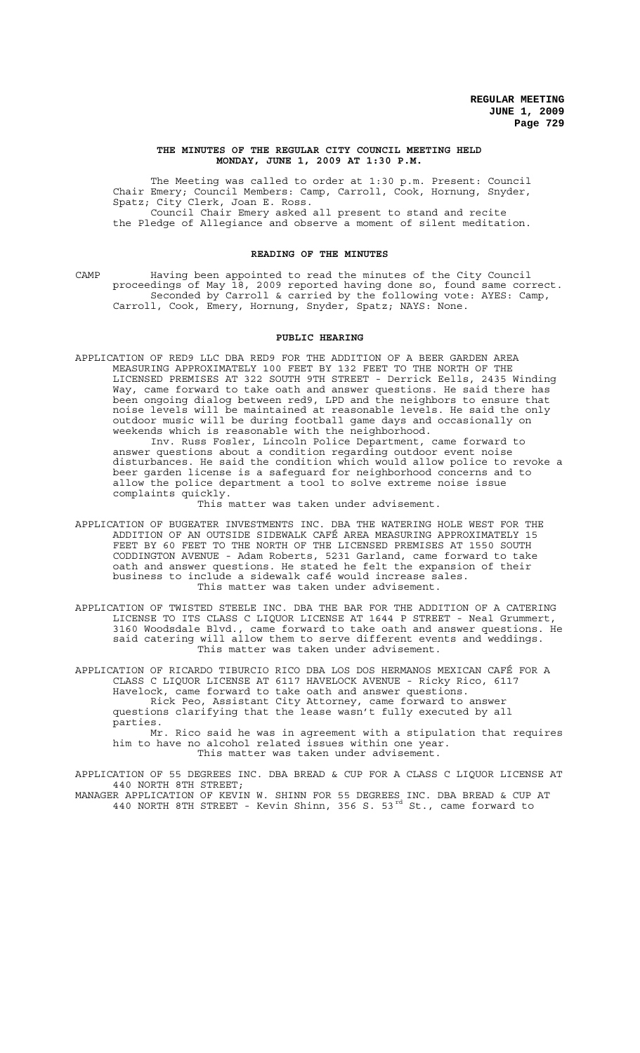#### **THE MINUTES OF THE REGULAR CITY COUNCIL MEETING HELD MONDAY, JUNE 1, 2009 AT 1:30 P.M.**

The Meeting was called to order at 1:30 p.m. Present: Council Chair Emery; Council Members: Camp, Carroll, Cook, Hornung, Snyder, Spatz; City Clerk, Joan E. Ross. Council Chair Emery asked all present to stand and recite the Pledge of Allegiance and observe a moment of silent meditation.

### **READING OF THE MINUTES**

CAMP Having been appointed to read the minutes of the City Council proceedings of May 18, 2009 reported having done so, found same correct. Seconded by Carroll & carried by the following vote: AYES: Camp, Carroll, Cook, Emery, Hornung, Snyder, Spatz; NAYS: None.

### **PUBLIC HEARING**

APPLICATION OF RED9 LLC DBA RED9 FOR THE ADDITION OF A BEER GARDEN AREA MEASURING APPROXIMATELY 100 FEET BY 132 FEET TO THE NORTH OF THE LICENSED PREMISES AT 322 SOUTH 9TH STREET - Derrick Eells, 2435 Winding Way, came forward to take oath and answer questions. He said there has been ongoing dialog between red9, LPD and the neighbors to ensure that noise levels will be maintained at reasonable levels. He said the only outdoor music will be during football game days and occasionally on weekends which is reasonable with the neighborhood.

Inv. Russ Fosler, Lincoln Police Department, came forward to answer questions about a condition regarding outdoor event noise disturbances. He said the condition which would allow police to revoke a beer garden license is a safeguard for neighborhood concerns and to allow the police department a tool to solve extreme noise issue complaints quickly.

This matter was taken under advisement.

APPLICATION OF BUGEATER INVESTMENTS INC. DBA THE WATERING HOLE WEST FOR THE ADDITION OF AN OUTSIDE SIDEWALK CAFÉ AREA MEASURING APPROXIMATELY 15 FEET BY 60 FEET TO THE NORTH OF THE LICENSED PREMISES AT 1550 SOUTH CODDINGTON AVENUE - Adam Roberts, 5231 Garland, came forward to take oath and answer questions. He stated he felt the expansion of their business to include a sidewalk café would increase sales. This matter was taken under advisement.

APPLICATION OF TWISTED STEELE INC. DBA THE BAR FOR THE ADDITION OF A CATERING LICENSE TO ITS CLASS C LIQUOR LICENSE AT 1644 P STREET - Neal Grummert, 3160 Woodsdale Blvd., came forward to take oath and answer questions. He said catering will allow them to serve different events and weddings. This matter was taken under advisement.

APPLICATION OF RICARDO TIBURCIO RICO DBA LOS DOS HERMANOS MEXICAN CAFÉ FOR A CLASS C LIQUOR LICENSE AT 6117 HAVELOCK AVENUE - Ricky Rico, 6117 Havelock, came forward to take oath and answer questions. Rick Peo, Assistant City Attorney, came forward to answer questions clarifying that the lease wasn't fully executed by all parties.

Mr. Rico said he was in agreement with a stipulation that requires him to have no alcohol related issues within one year. This matter was taken under advisement.

APPLICATION OF 55 DEGREES INC. DBA BREAD & CUP FOR A CLASS C LIQUOR LICENSE AT 440 NORTH 8TH STREET; MANAGER APPLICATION OF KEVIN W. SHINN FOR 55 DEGREES INC. DBA BREAD & CUP AT 440 NORTH 8TH STREET - Kevin Shinn, 356 S. 53<sup>rd</sup> St., came forward to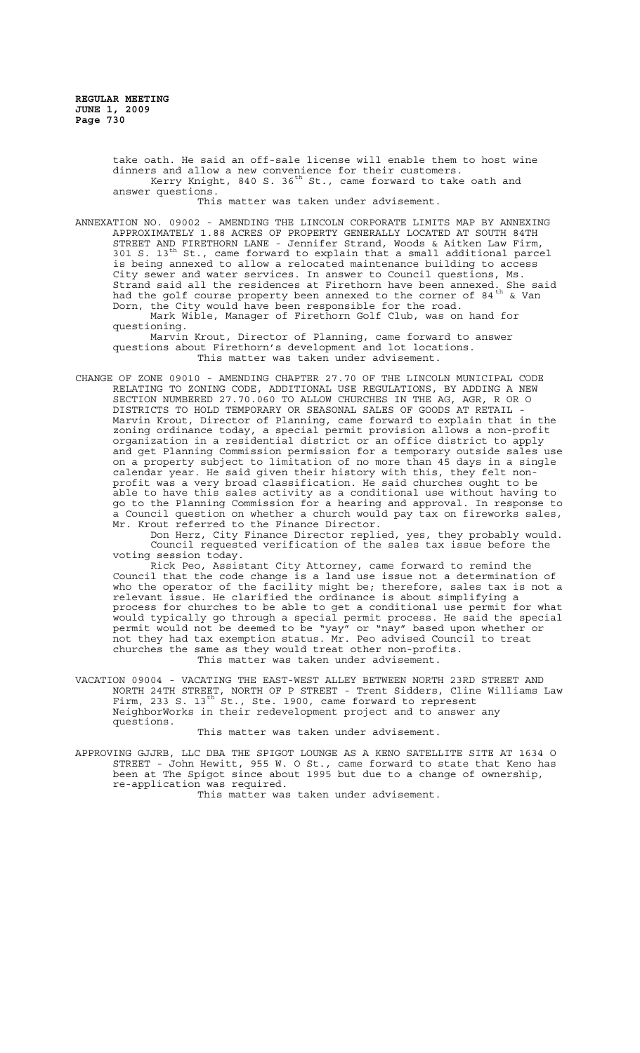take oath. He said an off-sale license will enable them to host wine dinners and allow a new convenience for their customers. Kerry Knight, 840 S. 36 $^{\rm th}$  St., came forward to take oath and answer questions.

This matter was taken under advisement.

ANNEXATION NO. 09002 - AMENDING THE LINCOLN CORPORATE LIMITS MAP BY ANNEXING APPROXIMATELY 1.88 ACRES OF PROPERTY GENERALLY LOCATED AT SOUTH 84TH STREET AND FIRETHORN LANE - Jennifer Strand, Woods & Aitken Law Firm, 301 S. 13<sup>th</sup> St., came forward to explain that a small additional parcel is being annexed to allow a relocated maintenance building to access City sewer and water services. In answer to Council questions, Ms. Strand said all the residences at Firethorn have been annexed. She said had the golf course property been annexed to the corner of 84  $^{\rm th}$  & Van Dorn, the City would have been responsible for the road.

Mark Wible, Manager of Firethorn Golf Club, was on hand for questioning.

Marvin Krout, Director of Planning, came forward to answer questions about Firethorn's development and lot locations. This matter was taken under advisement.

CHANGE OF ZONE 09010 - AMENDING CHAPTER 27.70 OF THE LINCOLN MUNICIPAL CODE RELATING TO ZONING CODE, ADDITIONAL USE REGULATIONS, BY ADDING A NEW SECTION NUMBERED 27.70.060 TO ALLOW CHURCHES IN THE AG, AGR, R OR O DISTRICTS TO HOLD TEMPORARY OR SEASONAL SALES OF GOODS AT RETAIL - Marvin Krout, Director of Planning, came forward to explain that in the zoning ordinance today, a special permit provision allows a non-profit organization in a residential district or an office district to apply and get Planning Commission permission for a temporary outside sales use on a property subject to limitation of no more than 45 days in a single calendar year. He said given their history with this, they felt nonprofit was a very broad classification. He said churches ought to be able to have this sales activity as a conditional use without having to go to the Planning Commission for a hearing and approval. In response to a Council question on whether a church would pay tax on fireworks sales, Mr. Krout referred to the Finance Director.

Don Herz, City Finance Director replied, yes, they probably would. Council requested verification of the sales tax issue before the voting session today.

Rick Peo, Assistant City Attorney, came forward to remind the Council that the code change is a land use issue not a determination of who the operator of the facility might be; therefore, sales tax is not a relevant issue. He clarified the ordinance is about simplifying a process for churches to be able to get a conditional use permit for what would typically go through a special permit process. He said the special permit would not be deemed to be "yay" or "nay" based upon whether or not they had tax exemption status. Mr. Peo advised Council to treat churches the same as they would treat other non-profits. This matter was taken under advisement.

VACATION 09004 - VACATING THE EAST-WEST ALLEY BETWEEN NORTH 23RD STREET AND NORTH 24TH STREET, NORTH OF P STREET - Trent Sidders, Cline Williams Law Firm, 233 S.  $13^{\text{th}}$  St., Ste. 1900, came forward to represent NeighborWorks in their redevelopment project and to answer any questions.

This matter was taken under advisement.

APPROVING GJJRB, LLC DBA THE SPIGOT LOUNGE AS A KENO SATELLITE SITE AT 1634 O STREET - John Hewitt, 955 W. O St., came forward to state that Keno has been at The Spigot since about 1995 but due to a change of ownership, re-application was required.

This matter was taken under advisement.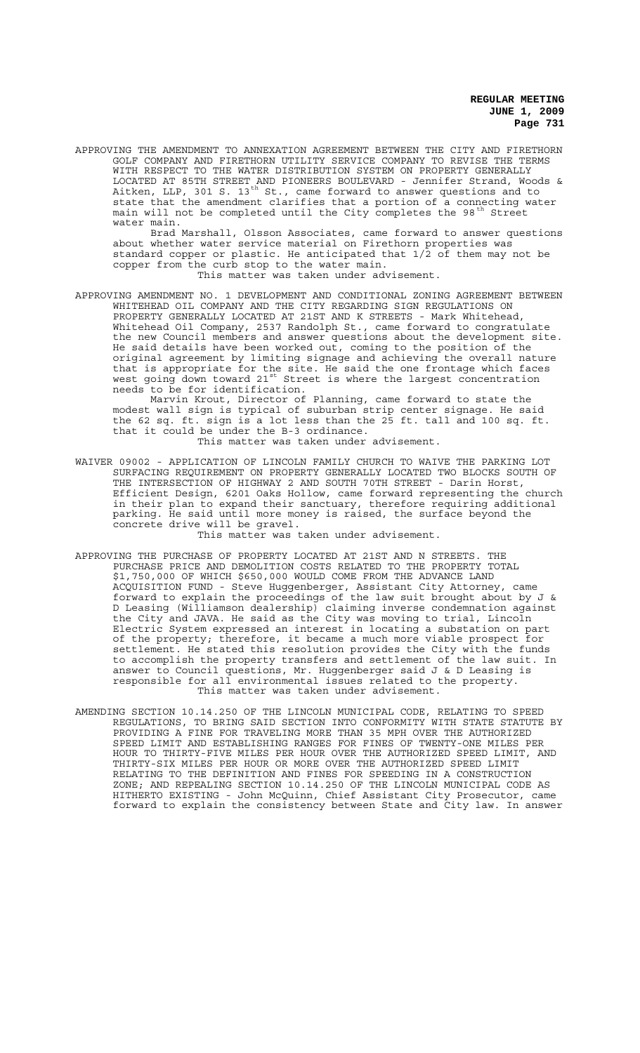APPROVING THE AMENDMENT TO ANNEXATION AGREEMENT BETWEEN THE CITY AND FIRETHORN GOLF COMPANY AND FIRETHORN UTILITY SERVICE COMPANY TO REVISE THE TERMS WITH RESPECT TO THE WATER DISTRIBUTION SYSTEM ON PROPERTY GENERALLY LOCATED AT 85TH STREET AND PIONEERS BOULEVARD - Jennifer Strand, Woods & Aitken, LLP, 301 S. 13<sup>th</sup> St., came forward to answer questions and to state that the amendment clarifies that a portion of a connecting water main will not be completed until the City completes the 98<sup>th</sup> Street water main.

Brad Marshall, Olsson Associates, came forward to answer questions about whether water service material on Firethorn properties was standard copper or plastic. He anticipated that 1/2 of them may not be copper from the curb stop to the water main. This matter was taken under advisement.

APPROVING AMENDMENT NO. 1 DEVELOPMENT AND CONDITIONAL ZONING AGREEMENT BETWEEN WHITEHEAD OIL COMPANY AND THE CITY REGARDING SIGN REGULATIONS ON PROPERTY GENERALLY LOCATED AT 21ST AND K STREETS - Mark Whitehead, Whitehead Oil Company, 2537 Randolph St., came forward to congratulate the new Council members and answer questions about the development site. He said details have been worked out, coming to the position of the original agreement by limiting signage and achieving the overall nature that is appropriate for the site. He said the one frontage which faces west going down toward 21st Street is where the largest concentration needs to be for identification.

Marvin Krout, Director of Planning, came forward to state the modest wall sign is typical of suburban strip center signage. He said the 62 sq. ft. sign is a lot less than the 25 ft. tall and 100 sq. ft. that it could be under the B-3 ordinance. This matter was taken under advisement.

WAIVER 09002 - APPLICATION OF LINCOLN FAMILY CHURCH TO WAIVE THE PARKING LOT SURFACING REQUIREMENT ON PROPERTY GENERALLY LOCATED TWO BLOCKS SOUTH OF THE INTERSECTION OF HIGHWAY 2 AND SOUTH 70TH STREET - Darin Horst, Efficient Design, 6201 Oaks Hollow, came forward representing the church in their plan to expand their sanctuary, therefore requiring additional parking. He said until more money is raised, the surface beyond the concrete drive will be gravel.

This matter was taken under advisement.

- APPROVING THE PURCHASE OF PROPERTY LOCATED AT 21ST AND N STREETS. THE PURCHASE PRICE AND DEMOLITION COSTS RELATED TO THE PROPERTY TOTAL \$1,750,000 OF WHICH \$650,000 WOULD COME FROM THE ADVANCE LAND ACQUISITION FUND - Steve Huggenberger, Assistant City Attorney, came forward to explain the proceedings of the law suit brought about by J & D Leasing (Williamson dealership) claiming inverse condemnation against the City and JAVA. He said as the City was moving to trial, Lincoln Electric System expressed an interest in locating a substation on part of the property; therefore, it became a much more viable prospect for settlement. He stated this resolution provides the City with the funds to accomplish the property transfers and settlement of the law suit. In answer to Council questions, Mr. Huggenberger said J & D Leasing is responsible for all environmental issues related to the property. This matter was taken under advisement.
- AMENDING SECTION 10.14.250 OF THE LINCOLN MUNICIPAL CODE, RELATING TO SPEED REGULATIONS, TO BRING SAID SECTION INTO CONFORMITY WITH STATE STATUTE BY PROVIDING A FINE FOR TRAVELING MORE THAN 35 MPH OVER THE AUTHORIZED SPEED LIMIT AND ESTABLISHING RANGES FOR FINES OF TWENTY-ONE MILES PER HOUR TO THIRTY-FIVE MILES PER HOUR OVER THE AUTHORIZED SPEED LIMIT, AND THIRTY-SIX MILES PER HOUR OR MORE OVER THE AUTHORIZED SPEED LIMIT RELATING TO THE DEFINITION AND FINES FOR SPEEDING IN A CONSTRUCTION ZONE; AND REPEALING SECTION 10.14.250 OF THE LINCOLN MUNICIPAL CODE AS HITHERTO EXISTING - John McQuinn, Chief Assistant City Prosecutor, came forward to explain the consistency between State and City law. In answer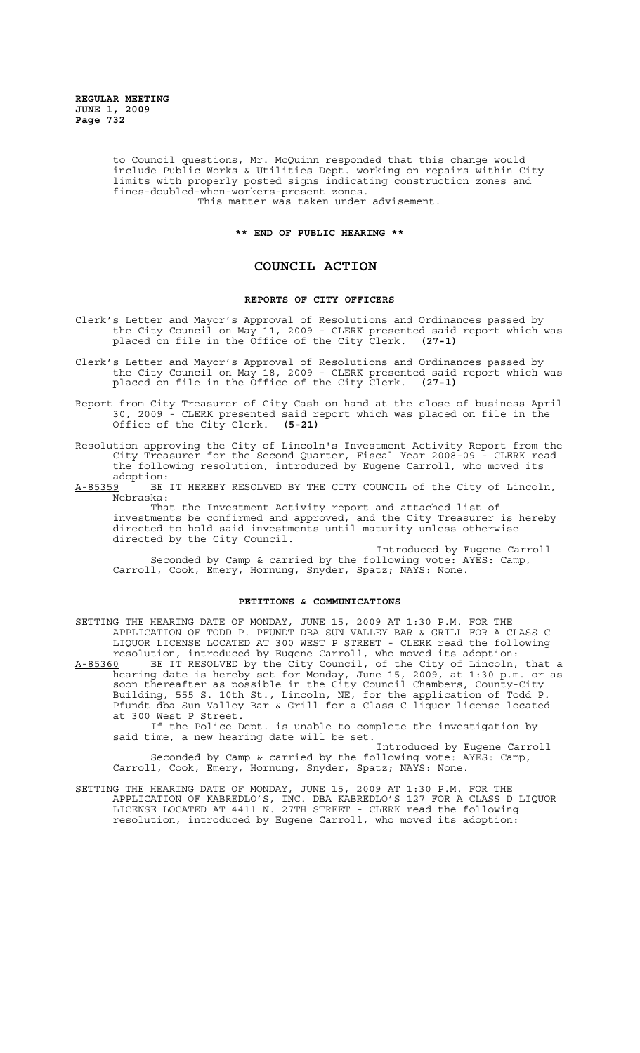to Council questions, Mr. McQuinn responded that this change would include Public Works & Utilities Dept. working on repairs within City limits with properly posted signs indicating construction zones and fines-doubled-when-workers-present zones. This matter was taken under advisement.

#### **\*\* END OF PUBLIC HEARING \*\***

# **COUNCIL ACTION**

## **REPORTS OF CITY OFFICERS**

- Clerk's Letter and Mayor's Approval of Resolutions and Ordinances passed by the City Council on May 11, 2009 - CLERK presented said report which was placed on file in the Office of the City Clerk. **(27-1)**
- Clerk's Letter and Mayor's Approval of Resolutions and Ordinances passed by the City Council on May 18, 2009 - CLERK presented said report which was placed on file in the Office of the City Clerk. **(27-1)**
- Report from City Treasurer of City Cash on hand at the close of business April 30, 2009 - CLERK presented said report which was placed on file in the Office of the City Clerk. **(5-21)**
- Resolution approving the City of Lincoln's Investment Activity Report from the City Treasurer for the Second Quarter, Fiscal Year 2008-09 - CLERK read the following resolution, introduced by Eugene Carroll, who moved its adoption:<br><u>A-85359</u> BE
- BE IT HEREBY RESOLVED BY THE CITY COUNCIL of the City of Lincoln, Nebraska:

That the Investment Activity report and attached list of investments be confirmed and approved, and the City Treasurer is hereby directed to hold said investments until maturity unless otherwise directed by the City Council.

Introduced by Eugene Carroll Seconded by Camp & carried by the following vote: AYES: Camp, Carroll, Cook, Emery, Hornung, Snyder, Spatz; NAYS: None.

# **PETITIONS & COMMUNICATIONS**

SETTING THE HEARING DATE OF MONDAY, JUNE 15, 2009 AT 1:30 P.M. FOR THE APPLICATION OF TODD P. PFUNDT DBA SUN VALLEY BAR & GRILL FOR A CLASS C LIQUOR LICENSE LOCATED AT 300 WEST P STREET - CLERK read the following resolution, introduced by Eugene Carroll, who moved its adoption: A-85360 BE IT RESOLVED by the City Council, of the City of Lincoln, that a hearing date is hereby set for Monday, June 15, 2009, at 1:30 p.m. or as soon thereafter as possible in the City Council Chambers, County-City Building, 555 S. 10th St., Lincoln, NE, for the application of Todd P. Pfundt dba Sun Valley Bar & Grill for a Class C liquor license located at 300 West P Street. If the Police Dept. is unable to complete the investigation by said time, a new hearing date will be set. Introduced by Eugene Carroll Seconded by Camp & carried by the following vote: AYES: Camp, Carroll, Cook, Emery, Hornung, Snyder, Spatz; NAYS: None.

SETTING THE HEARING DATE OF MONDAY, JUNE 15, 2009 AT 1:30 P.M. FOR THE APPLICATION OF KABREDLO'S, INC. DBA KABREDLO'S 127 FOR A CLASS D LIQUOR LICENSE LOCATED AT 4411 N. 27TH STREET - CLERK read the following resolution, introduced by Eugene Carroll, who moved its adoption: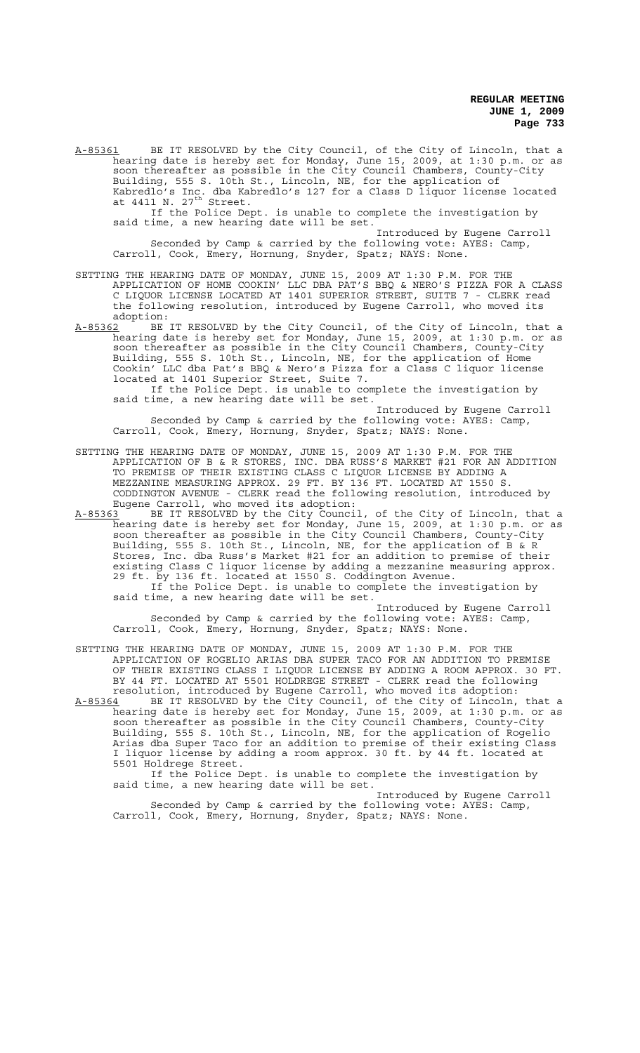A-85361 BE IT RESOLVED by the City Council, of the City of Lincoln, that a hearing date is hereby set for Monday, June 15, 2009, at 1:30 p.m. or as soon thereafter as possible in the City Council Chambers, County-City Building, 555 S. 10th St., Lincoln, NE, for the application of Kabredlo's Inc. dba Kabredlo's 127 for a Class D liquor license located at 4411 N.  $27^{\text{th}}$  Street.

If the Police Dept. is unable to complete the investigation by said time, a new hearing date will be set.

Introduced by Eugene Carroll Seconded by Camp & carried by the following vote: AYES: Camp, Carroll, Cook, Emery, Hornung, Snyder, Spatz; NAYS: None.

SETTING THE HEARING DATE OF MONDAY, JUNE 15, 2009 AT 1:30 P.M. FOR THE APPLICATION OF HOME COOKIN' LLC DBA PAT'S BBQ & NERO'S PIZZA FOR A CLASS C LIQUOR LICENSE LOCATED AT 1401 SUPERIOR STREET, SUITE 7 - CLERK read the following resolution, introduced by Eugene Carroll, who moved its adoption:<br>A-85362 BE

BE IT RESOLVED by the City Council, of the City of Lincoln, that a hearing date is hereby set for Monday, June 15, 2009, at 1:30 p.m. or as soon thereafter as possible in the City Council Chambers, County-City Building, 555 S. 10th St., Lincoln, NE, for the application of Home Cookin' LLC dba Pat's BBQ & Nero's Pizza for a Class C liquor license located at 1401 Superior Street, Suite 7.

If the Police Dept. is unable to complete the investigation by said time, a new hearing date will be set.

Introduced by Eugene Carroll Seconded by Camp & carried by the following vote: AYES: Camp, Carroll, Cook, Emery, Hornung, Snyder, Spatz; NAYS: None.

SETTING THE HEARING DATE OF MONDAY, JUNE 15, 2009 AT 1:30 P.M. FOR THE APPLICATION OF B & R STORES, INC. DBA RUSS'S MARKET #21 FOR AN ADDITION TO PREMISE OF THEIR EXISTING CLASS C LIQUOR LICENSE BY ADDING A MEZZANINE MEASURING APPROX. 29 FT. BY 136 FT. LOCATED AT 1550 S. CODDINGTON AVENUE - CLERK read the following resolution, introduced by Eugene Carroll, who moved its adoption:

A-85363 BE IT RESOLVED by the City Council, of the City of Lincoln, that a hearing date is hereby set for Monday, June 15, 2009, at 1:30 p.m. or as soon thereafter as possible in the City Council Chambers, County-City Building, 555 S. 10th St., Lincoln, NE, for the application of B & R Stores, Inc. dba Russ's Market #21 for an addition to premise of their existing Class C liquor license by adding a mezzanine measuring approx. 29 ft. by 136 ft. located at 1550 S. Coddington Avenue. If the Police Dept. is unable to complete the investigation by said time, a new hearing date will be set.

Introduced by Eugene Carroll Seconded by Camp & carried by the following vote: AYES: Camp, Carroll, Cook, Emery, Hornung, Snyder, Spatz; NAYS: None.

SETTING THE HEARING DATE OF MONDAY, JUNE 15, 2009 AT 1:30 P.M. FOR THE APPLICATION OF ROGELIO ARIAS DBA SUPER TACO FOR AN ADDITION TO PREMISE OF THEIR EXISTING CLASS I LIQUOR LICENSE BY ADDING A ROOM APPROX. 30 FT. BY 44 FT. LOCATED AT 5501 HOLDREGE STREET - CLERK read the following resolution, introduced by Eugene Carroll, who moved its adoption:

A-85364 BE IT RESOLVED by the City Council, of the City of Lincoln, that a hearing date is hereby set for Monday, June 15, 2009, at 1:30 p.m. or as soon thereafter as possible in the City Council Chambers, County-City Building, 555 S. 10th St., Lincoln, NE, for the application of Rogelio Arias dba Super Taco for an addition to premise of their existing Class I liquor license by adding a room approx. 30 ft. by 44 ft. located at 5501 Holdrege Street.

If the Police Dept. is unable to complete the investigation by said time, a new hearing date will be set.

Introduced by Eugene Carroll Seconded by Camp & carried by the following vote: AYES: Camp, Carroll, Cook, Emery, Hornung, Snyder, Spatz; NAYS: None.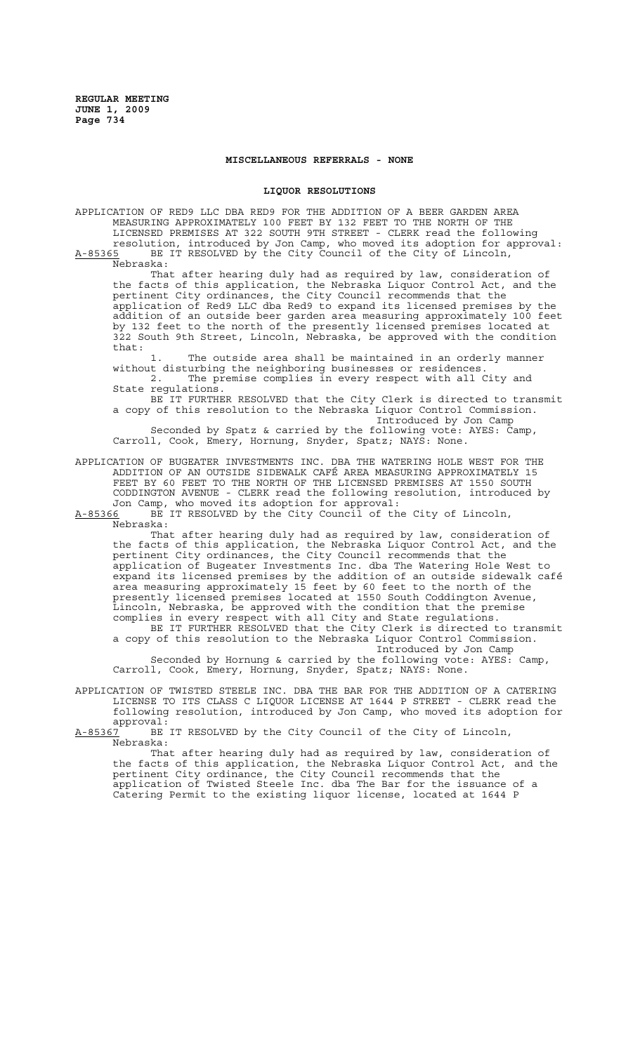### **MISCELLANEOUS REFERRALS - NONE**

#### **LIQUOR RESOLUTIONS**

APPLICATION OF RED9 LLC DBA RED9 FOR THE ADDITION OF A BEER GARDEN AREA MEASURING APPROXIMATELY 100 FEET BY 132 FEET TO THE NORTH OF THE LICENSED PREMISES AT 322 SOUTH 9TH STREET - CLERK read the following resolution, introduced by Jon Camp, who moved its adoption for approval: A-85365 BE IT RESOLVED by the City Council of the City of Lincoln, Nebraska:

That after hearing duly had as required by law, consideration of the facts of this application, the Nebraska Liquor Control Act, and the pertinent City ordinances, the City Council recommends that the application of Red9 LLC dba Red9 to expand its licensed premises by the addition of an outside beer garden area measuring approximately 100 feet by 132 feet to the north of the presently licensed premises located at 322 South 9th Street, Lincoln, Nebraska, be approved with the condition that:

1. The outside area shall be maintained in an orderly manner without disturbing the neighboring businesses or residences. 2. The premise complies in every respect with all City and State regulations.

BE IT FURTHER RESOLVED that the City Clerk is directed to transmit a copy of this resolution to the Nebraska Liquor Control Commission.

Introduced by Jon Camp Seconded by Spatz & carried by the following vote: AYES: Camp, Carroll, Cook, Emery, Hornung, Snyder, Spatz; NAYS: None.

APPLICATION OF BUGEATER INVESTMENTS INC. DBA THE WATERING HOLE WEST FOR THE ADDITION OF AN OUTSIDE SIDEWALK CAFÉ AREA MEASURING APPROXIMATELY 15 FEET BY 60 FEET TO THE NORTH OF THE LICENSED PREMISES AT 1550 SOUTH CODDINGTON AVENUE - CLERK read the following resolution, introduced by Jon Camp, who moved its adoption for approval:

A-85366 BE IT RESOLVED by the City Council of the City of Lincoln, Nebraska:

That after hearing duly had as required by law, consideration of the facts of this application, the Nebraska Liquor Control Act, and the pertinent City ordinances, the City Council recommends that the application of Bugeater Investments Inc. dba The Watering Hole West to expand its licensed premises by the addition of an outside sidewalk café area measuring approximately 15 feet by 60 feet to the north of the presently licensed premises located at 1550 South Coddington Avenue, Lincoln, Nebraska, be approved with the condition that the premise complies in every respect with all City and State regulations. BE IT FURTHER RESOLVED that the City Clerk is directed to transmit a copy of this resolution to the Nebraska Liquor Control Commission. Introduced by Jon Camp Seconded by Hornung & carried by the following vote: AYES: Camp, Carroll, Cook, Emery, Hornung, Snyder, Spatz; NAYS: None.

APPLICATION OF TWISTED STEELE INC. DBA THE BAR FOR THE ADDITION OF A CATERING LICENSE TO ITS CLASS C LIQUOR LICENSE AT 1644 P STREET - CLERK read the following resolution, introduced by Jon Camp, who moved its adoption for : approval<br>A-85367 BE

BE IT RESOLVED by the City Council of the City of Lincoln, Nebraska:

That after hearing duly had as required by law, consideration of the facts of this application, the Nebraska Liquor Control Act, and the pertinent City ordinance, the City Council recommends that the application of Twisted Steele Inc. dba The Bar for the issuance of a Catering Permit to the existing liquor license, located at 1644 P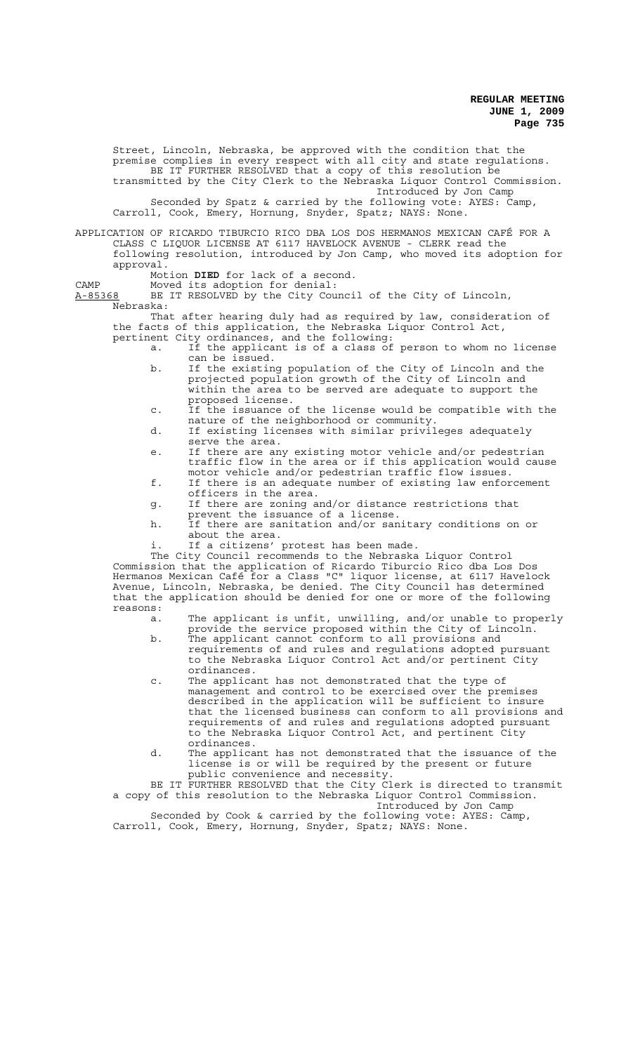Street, Lincoln, Nebraska, be approved with the condition that the premise complies in every respect with all city and state regulations. BE IT FURTHER RESOLVED that a copy of this resolution be transmitted by the City Clerk to the Nebraska Liquor Control Commission. Introduced by Jon Camp

Seconded by Spatz & carried by the following vote: AYES: Camp, Carroll, Cook, Emery, Hornung, Snyder, Spatz; NAYS: None.

### APPLICATION OF RICARDO TIBURCIO RICO DBA LOS DOS HERMANOS MEXICAN CAFÉ FOR A CLASS C LIQUOR LICENSE AT 6117 HAVELOCK AVENUE - CLERK read the following resolution, introduced by Jon Camp, who moved its adoption for approval.

Motion **DIED** for lack of a second. CAMP Moved its adoption for denial:

A-85368 BE IT RESOLVED by the City Council of the City of Lincoln, Nebraska:

That after hearing duly had as required by law, consideration of the facts of this application, the Nebraska Liquor Control Act, pertinent City ordinances, and the following:

- a. If the applicant is of a class of person to whom no license can be issued.
- b. If the existing population of the City of Lincoln and the projected population growth of the City of Lincoln and within the area to be served are adequate to support the proposed license.
- c. If the issuance of the license would be compatible with the nature of the neighborhood or community.
- d. If existing licenses with similar privileges adequately serve the area.
- e. If there are any existing motor vehicle and/or pedestrian traffic flow in the area or if this application would cause motor vehicle and/or pedestrian traffic flow issues.
- f. If there is an adequate number of existing law enforcement officers in the area.
- g. If there are zoning and/or distance restrictions that prevent the issuance of a license.
- h. If there are sanitation and/or sanitary conditions on or about the area.
- i. If a citizens' protest has been made.

The City Council recommends to the Nebraska Liquor Control Commission that the application of Ricardo Tiburcio Rico dba Los Dos Hermanos Mexican Café for a Class "C" liquor license, at 6117 Havelock Avenue, Lincoln, Nebraska, be denied. The City Council has determined that the application should be denied for one or more of the following reasons:

- a. The applicant is unfit, unwilling, and/or unable to properly provide the service proposed within the City of Lincoln.
- b. The applicant cannot conform to all provisions and requirements of and rules and regulations adopted pursuant to the Nebraska Liquor Control Act and/or pertinent City ordinances.
- c. The applicant has not demonstrated that the type of management and control to be exercised over the premises described in the application will be sufficient to insure that the licensed business can conform to all provisions and requirements of and rules and regulations adopted pursuant to the Nebraska Liquor Control Act, and pertinent City ordinances.
- d. The applicant has not demonstrated that the issuance of the license is or will be required by the present or future public convenience and necessity.

BE IT FURTHER RESOLVED that the City Clerk is directed to transmit a copy of this resolution to the Nebraska Liquor Control Commission. Introduced by Jon Camp

Seconded by Cook & carried by the following vote: AYES: Camp, Carroll, Cook, Emery, Hornung, Snyder, Spatz; NAYS: None.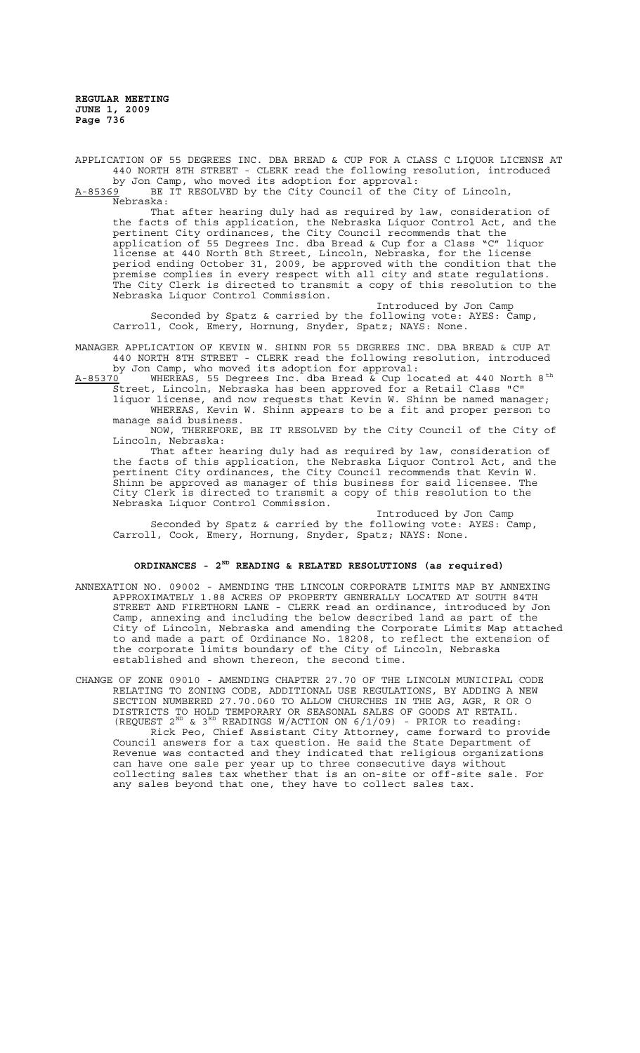APPLICATION OF 55 DEGREES INC. DBA BREAD & CUP FOR A CLASS C LIQUOR LICENSE AT 440 NORTH 8TH STREET - CLERK read the following resolution, introduced by Jon Camp, who moved its adoption for approval:

A-85369 BE IT RESOLVED by the City Council of the City of Lincoln,  $A-85369$  BE<br>Nebraska:

That after hearing duly had as required by law, consideration of the facts of this application, the Nebraska Liquor Control Act, and the pertinent City ordinances, the City Council recommends that the application of 55 Degrees Inc. dba Bread & Cup for a Class "C" liquor license at 440 North 8th Street, Lincoln, Nebraska, for the license period ending October 31, 2009, be approved with the condition that the premise complies in every respect with all city and state regulations. The City Clerk is directed to transmit a copy of this resolution to the Nebraska Liquor Control Commission.

Introduced by Jon Camp Seconded by Spatz & carried by the following vote: AYES: Camp, Carroll, Cook, Emery, Hornung, Snyder, Spatz; NAYS: None.

MANAGER APPLICATION OF KEVIN W. SHINN FOR 55 DEGREES INC. DBA BREAD & CUP AT 440 NORTH 8TH STREET - CLERK read the following resolution, introduced by Jon Camp, who moved its adoption for approval:

 $A-85370$  WHEREAS, 55 Degrees Inc. dba Bread & Cup located at 440 North 8<sup>th</sup> Street, Lincoln, Nebraska has been approved for a Retail Class "C"

liquor license, and now requests that Kevin W. Shinn be named manager; WHEREAS, Kevin W. Shinn appears to be a fit and proper person to manage said business.

NOW, THEREFORE, BE IT RESOLVED by the City Council of the City of Lincoln, Nebraska:

That after hearing duly had as required by law, consideration of the facts of this application, the Nebraska Liquor Control Act, and the pertinent City ordinances, the City Council recommends that Kevin W. Shinn be approved as manager of this business for said licensee. The City Clerk is directed to transmit a copy of this resolution to the Nebraska Liquor Control Commission.

Introduced by Jon Camp Seconded by Spatz & carried by the following vote: AYES: Camp, Carroll, Cook, Emery, Hornung, Snyder, Spatz; NAYS: None.

# **ORDINANCES - 2ND READING & RELATED RESOLUTIONS (as required)**

ANNEXATION NO. 09002 - AMENDING THE LINCOLN CORPORATE LIMITS MAP BY ANNEXING APPROXIMATELY 1.88 ACRES OF PROPERTY GENERALLY LOCATED AT SOUTH 84TH STREET AND FIRETHORN LANE - CLERK read an ordinance, introduced by Jon Camp, annexing and including the below described land as part of the City of Lincoln, Nebraska and amending the Corporate Limits Map attached to and made a part of Ordinance No. 18208, to reflect the extension of the corporate limits boundary of the City of Lincoln, Nebraska established and shown thereon, the second time.

CHANGE OF ZONE 09010 - AMENDING CHAPTER 27.70 OF THE LINCOLN MUNICIPAL CODE RELATING TO ZONING CODE, ADDITIONAL USE REGULATIONS, BY ADDING A NEW SECTION NUMBERED 27.70.060 TO ALLOW CHURCHES IN THE AG, AGR, R OR O DISTRICTS TO HOLD TEMPORARY OR SEASONAL SALES OF GOODS AT RETAIL. (REQUEST  $2^{ND}$  &  $3^{RD}$  READINGS W/ACTION ON  $6/1/09$ ) - PRIOR to reading:

Rick Peo, Chief Assistant City Attorney, came forward to provide Council answers for a tax question. He said the State Department of Revenue was contacted and they indicated that religious organizations can have one sale per year up to three consecutive days without collecting sales tax whether that is an on-site or off-site sale. For any sales beyond that one, they have to collect sales tax.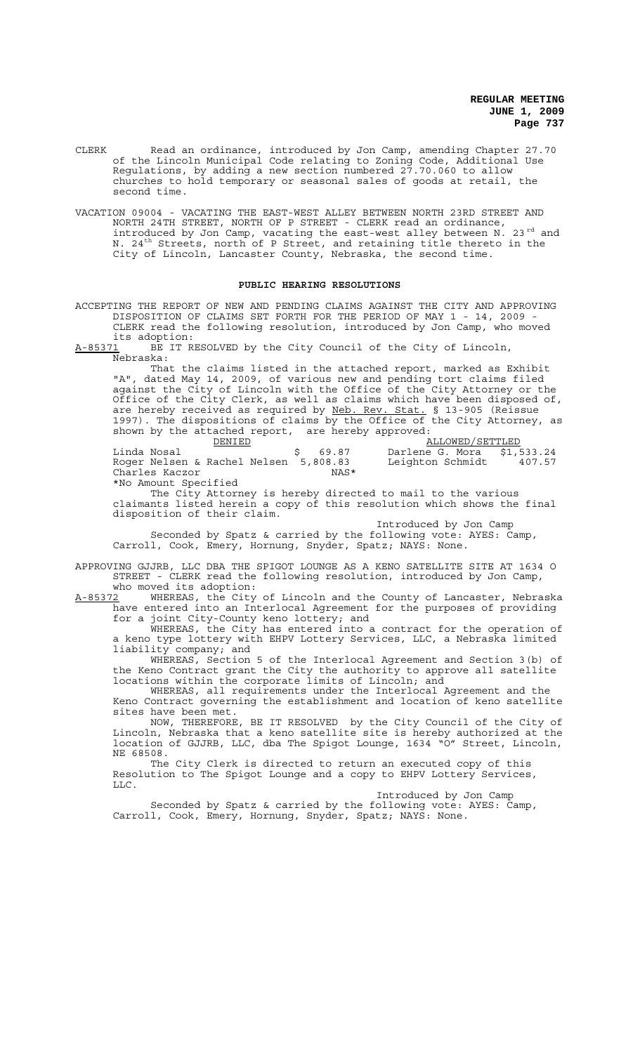- CLERK Read an ordinance, introduced by Jon Camp, amending Chapter 27.70 of the Lincoln Municipal Code relating to Zoning Code, Additional Use Regulations, by adding a new section numbered 27.70.060 to allow churches to hold temporary or seasonal sales of goods at retail, the second time.
- VACATION 09004 VACATING THE EAST-WEST ALLEY BETWEEN NORTH 23RD STREET AND NORTH 24TH STREET, NORTH OF P STREET - CLERK read an ordinance, introduced by Jon Camp, vacating the east-west alley between  $N$ . 23<sup>rd</sup> and N. 24<sup>th</sup> Streets, north of P Street, and retaining title thereto in the City of Lincoln, Lancaster County, Nebraska, the second time.

#### **PUBLIC HEARING RESOLUTIONS**

ACCEPTING THE REPORT OF NEW AND PENDING CLAIMS AGAINST THE CITY AND APPROVING DISPOSITION OF CLAIMS SET FORTH FOR THE PERIOD OF MAY 1 - 14, 2009 - CLERK read the following resolution, introduced by Jon Camp, who moved

its adoption:<br>A-85371 BE IT R BE IT RESOLVED by the City Council of the City of Lincoln, Nebraska:

That the claims listed in the attached report, marked as Exhibit "A", dated May 14, 2009, of various new and pending tort claims filed against the City of Lincoln with the Office of the City Attorney or the Office of the City Clerk, as well as claims which have been disposed of, are hereby received as required by Neb. Rev. Stat. § 13-905 (Reissue 1997). The dispositions of claims by the Office of the City Attorney, as shown by the attached report, are hereby approved:

| DENTED.                               |         | ALLOWED/SETTLED            |        |
|---------------------------------------|---------|----------------------------|--------|
| Linda Nosal                           | \$69.87 | Darlene G. Mora \$1,533.24 |        |
| Roger Nelsen & Rachel Nelsen 5,808.83 |         | Leighton Schmidt           | 407.57 |
| Charles Kaczor                        | NAS*    |                            |        |
| *No Amount Specified                  |         |                            |        |

The City Attorney is hereby directed to mail to the various claimants listed herein a copy of this resolution which shows the final disposition of their claim.

Introduced by Jon Camp Seconded by Spatz & carried by the following vote: AYES: Camp, Carroll, Cook, Emery, Hornung, Snyder, Spatz; NAYS: None.

APPROVING GJJRB, LLC DBA THE SPIGOT LOUNGE AS A KENO SATELLITE SITE AT 1634 O STREET - CLERK read the following resolution, introduced by Jon Camp, who moved its adoption:

A-85372 MHEREAS, the City of Lincoln and the County of Lancaster, Nebraska have entered into an Interlocal Agreement for the purposes of providing for a joint City-County keno lottery; and

WHEREAS, the City has entered into a contract for the operation of a keno type lottery with EHPV Lottery Services, LLC, a Nebraska limited liability company; and

WHEREAS, Section 5 of the Interlocal Agreement and Section 3(b) of the Keno Contract grant the City the authority to approve all satellite locations within the corporate limits of Lincoln; and

WHEREAS, all requirements under the Interlocal Agreement and the Keno Contract governing the establishment and location of keno satellite sites have been met.

NOW, THEREFORE, BE IT RESOLVED by the City Council of the City of Lincoln, Nebraska that a keno satellite site is hereby authorized at the location of GJJRB, LLC, dba The Spigot Lounge, 1634 "O" Street, Lincoln, NE 68508.

The City Clerk is directed to return an executed copy of this Resolution to The Spigot Lounge and a copy to EHPV Lottery Services, LLC.

Introduced by Jon Camp

Seconded by Spatz & carried by the following vote: AYES: Camp, Carroll, Cook, Emery, Hornung, Snyder, Spatz; NAYS: None.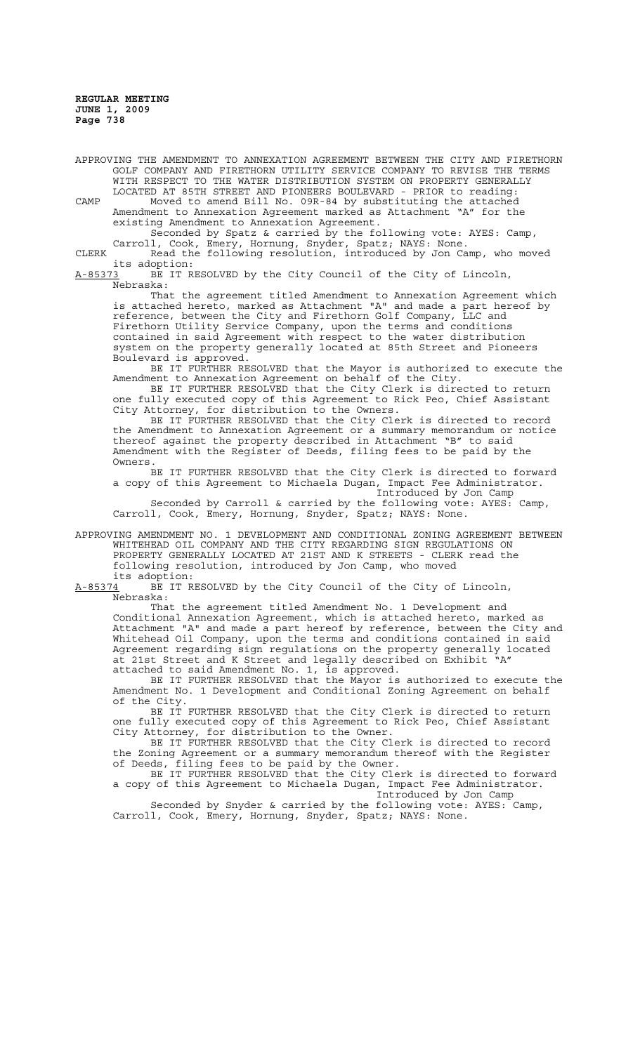APPROVING THE AMENDMENT TO ANNEXATION AGREEMENT BETWEEN THE CITY AND FIRETHORN GOLF COMPANY AND FIRETHORN UTILITY SERVICE COMPANY TO REVISE THE TERMS WITH RESPECT TO THE WATER DISTRIBUTION SYSTEM ON PROPERTY GENERALLY LOCATED AT 85TH STREET AND PIONEERS BOULEVARD - PRIOR to reading:

CAMP Moved to amend Bill No. 09R-84 by substituting the attached Amendment to Annexation Agreement marked as Attachment "A" for the existing Amendment to Annexation Agreement.

Seconded by Spatz & carried by the following vote: AYES: Camp, Carroll, Cook, Emery, Hornung, Snyder, Spatz; NAYS: None.

CLERK Read the following resolution, introduced by Jon Camp, who moved its adoption:<br>A-85373 BE IT R

BE IT RESOLVED by the City Council of the City of Lincoln, Nebraska:

That the agreement titled Amendment to Annexation Agreement which is attached hereto, marked as Attachment "A" and made a part hereof by reference, between the City and Firethorn Golf Company, LLC and Firethorn Utility Service Company, upon the terms and conditions contained in said Agreement with respect to the water distribution system on the property generally located at 85th Street and Pioneers Boulevard is approved.

BE IT FURTHER RESOLVED that the Mayor is authorized to execute the Amendment to Annexation Agreement on behalf of the City.

BE IT FURTHER RESOLVED that the City Clerk is directed to return one fully executed copy of this Agreement to Rick Peo, Chief Assistant City Attorney, for distribution to the Owners.

BE IT FURTHER RESOLVED that the City Clerk is directed to record the Amendment to Annexation Agreement or a summary memorandum or notice thereof against the property described in Attachment "B" to said Amendment with the Register of Deeds, filing fees to be paid by the Owners.

BE IT FURTHER RESOLVED that the City Clerk is directed to forward a copy of this Agreement to Michaela Dugan, Impact Fee Administrator. Introduced by Jon Camp

Seconded by Carroll & carried by the following vote: AYES: Camp, Carroll, Cook, Emery, Hornung, Snyder, Spatz; NAYS: None.

APPROVING AMENDMENT NO. 1 DEVELOPMENT AND CONDITIONAL ZONING AGREEMENT BETWEEN WHITEHEAD OIL COMPANY AND THE CITY REGARDING SIGN REGULATIONS ON PROPERTY GENERALLY LOCATED AT 21ST AND K STREETS - CLERK read the following resolution, introduced by Jon Camp, who moved

its adoption:<br>A-85374 BE IT R BE IT RESOLVED by the City Council of the City of Lincoln, Nebraska:

That the agreement titled Amendment No. 1 Development and Conditional Annexation Agreement, which is attached hereto, marked as Attachment "A" and made a part hereof by reference, between the City and Whitehead Oil Company, upon the terms and conditions contained in said Agreement regarding sign regulations on the property generally located at 21st Street and K Street and legally described on Exhibit "A" attached to said Amendment No. 1, is approved.

BE IT FURTHER RESOLVED that the Mayor is authorized to execute the Amendment No. 1 Development and Conditional Zoning Agreement on behalf of the City.

BE IT FURTHER RESOLVED that the City Clerk is directed to return one fully executed copy of this Agreement to Rick Peo, Chief Assistant City Attorney, for distribution to the Owner.

BE IT FURTHER RESOLVED that the City Clerk is directed to record the Zoning Agreement or a summary memorandum thereof with the Register the Zoning Agreement or a summary memorandum thereof with the Register of Deeds, filing fees to be paid by the Owner.

BE IT FURTHER RESOLVED that the City Clerk is directed to forward a copy of this Agreement to Michaela Dugan, Impact Fee Administrator. Introduced by Jon Camp

Seconded by Snyder & carried by the following vote: AYES: Camp, Carroll, Cook, Emery, Hornung, Snyder, Spatz; NAYS: None.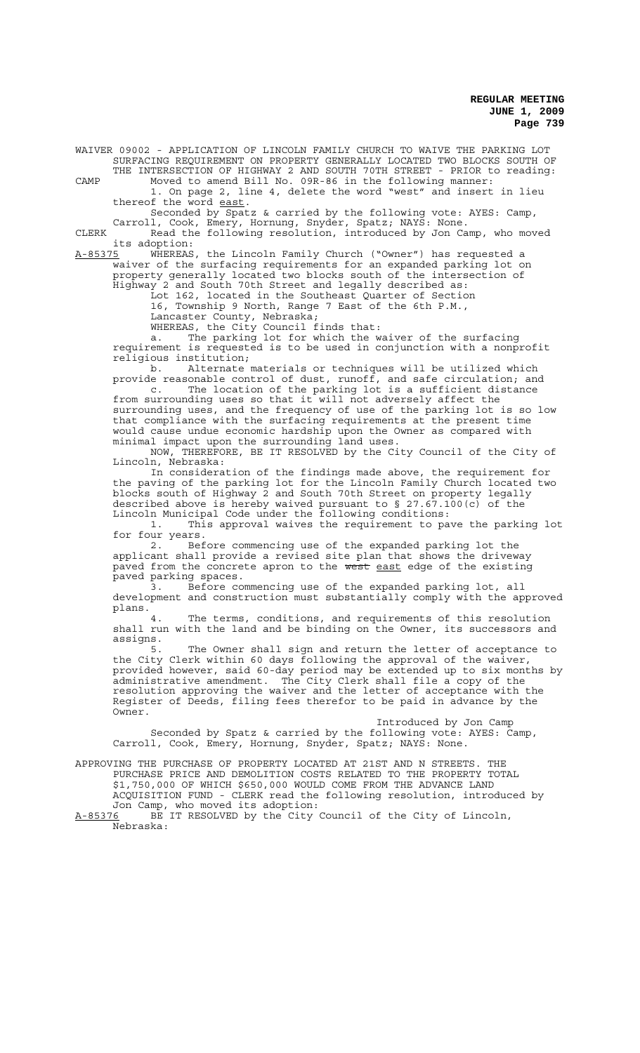WAIVER 09002 - APPLICATION OF LINCOLN FAMILY CHURCH TO WAIVE THE PARKING LOT SURFACING REQUIREMENT ON PROPERTY GENERALLY LOCATED TWO BLOCKS SOUTH OF THE INTERSECTION OF HIGHWAY 2 AND SOUTH 70TH STREET - PRIOR to reading:

CAMP Moved to amend Bill No. 09R-86 in the following manner: 1. On page 2, line 4, delete the word "west" and insert in lieu thereof the word east.

Seconded by Spatz & carried by the following vote: AYES: Camp, Carroll, Cook, Emery, Hornung, Snyder, Spatz; NAYS: None.

CLERK Read the following resolution, introduced by Jon Camp, who moved its adoption:<br>A-85375 WHEREAS

A-85375 WHEREAS, the Lincoln Family Church ("Owner") has requested a waiver of the surfacing requirements for an expanded parking lot on property generally located two blocks south of the intersection of Highway 2 and South 70th Street and legally described as:

Lot 162, located in the Southeast Quarter of Section

16, Township 9 North, Range 7 East of the 6th P.M.,

Lancaster County, Nebraska;

WHEREAS, the City Council finds that:

a. The parking lot for which the waiver of the surfacing requirement is requested is to be used in conjunction with a nonprofit religious institution;<br>b. Alternate

Alternate materials or techniques will be utilized which provide reasonable control of dust, runoff, and safe circulation; and c. The location of the parking lot is a sufficient distance from surrounding uses so that it will not adversely affect the surrounding uses, and the frequency of use of the parking lot is so low that compliance with the surfacing requirements at the present time would cause undue economic hardship upon the Owner as compared with minimal impact upon the surrounding land uses.

NOW, THEREFORE, BE IT RESOLVED by the City Council of the City of Lincoln, Nebraska:

In consideration of the findings made above, the requirement for the paving of the parking lot for the Lincoln Family Church located two blocks south of Highway 2 and South 70th Street on property legally described above is hereby waived pursuant to § 27.67.100(c) of the Lincoln Municipal Code under the following conditions:

1. This approval waives the requirement to pave the parking lot for four years.

2. Before commencing use of the expanded parking lot the applicant shall provide a revised site plan that shows the driveway paved from the concrete apron to the west east edge of the existing paved parking spaces.

3. Before commencing use of the expanded parking lot, all development and construction must substantially comply with the approved plans.<br>4.

The terms, conditions, and requirements of this resolution shall run with the land and be binding on the Owner, its successors and assigns.<br>5.

The Owner shall sign and return the letter of acceptance to the City Clerk within 60 days following the approval of the waiver, provided however, said 60-day period may be extended up to six months by administrative amendment. The City Clerk shall file a copy of the resolution approving the waiver and the letter of acceptance with the Register of Deeds, filing fees therefor to be paid in advance by the Owner.

Introduced by Jon Camp Seconded by Spatz & carried by the following vote: AYES: Camp, Carroll, Cook, Emery, Hornung, Snyder, Spatz; NAYS: None.

APPROVING THE PURCHASE OF PROPERTY LOCATED AT 21ST AND N STREETS. THE PURCHASE PRICE AND DEMOLITION COSTS RELATED TO THE PROPERTY TOTAL \$1,750,000 OF WHICH \$650,000 WOULD COME FROM THE ADVANCE LAND

ACQUISITION FUND - CLERK read the following resolution, introduced by Jon Camp, who moved its adoption:

A-85376 BE IT RESOLVED by the City Council of the City of Lincoln, Nebraska: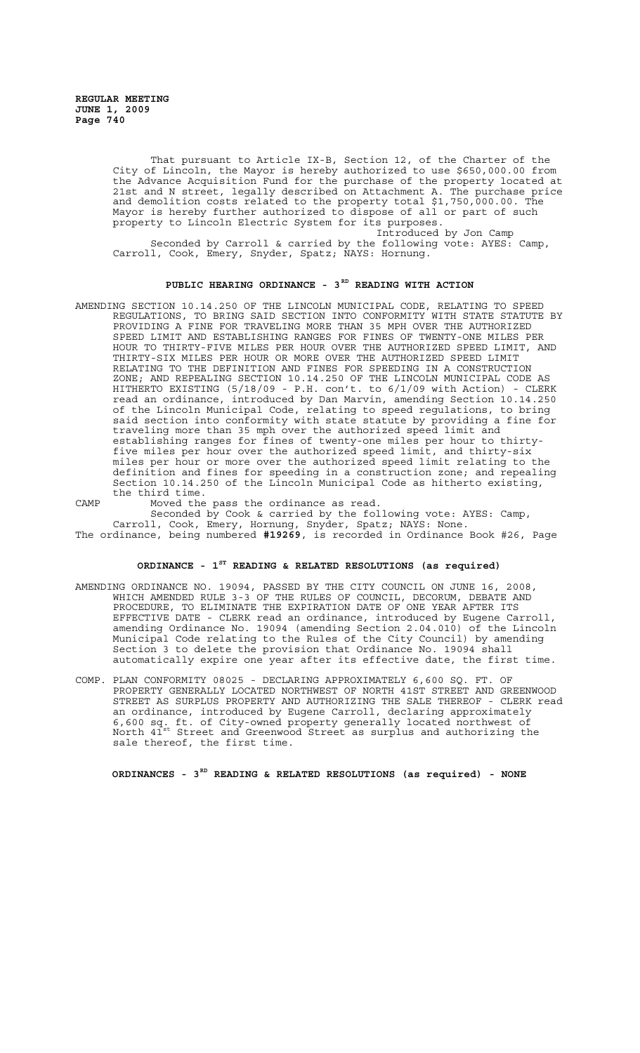That pursuant to Article IX-B, Section 12, of the Charter of the City of Lincoln, the Mayor is hereby authorized to use \$650,000.00 from the Advance Acquisition Fund for the purchase of the property located at 21st and N street, legally described on Attachment A. The purchase price and demolition costs related to the property total \$1,750,000.00. The Mayor is hereby further authorized to dispose of all or part of such property to Lincoln Electric System for its purposes.

Introduced by Jon Camp Seconded by Carroll & carried by the following vote: AYES: Camp, Carroll, Cook, Emery, Snyder, Spatz; NAYS: Hornung.

#### PUBLIC HEARING ORDINANCE - 3<sup>RD</sup> READING WITH ACTION

AMENDING SECTION 10.14.250 OF THE LINCOLN MUNICIPAL CODE, RELATING TO SPEED REGULATIONS, TO BRING SAID SECTION INTO CONFORMITY WITH STATE STATUTE BY PROVIDING A FINE FOR TRAVELING MORE THAN 35 MPH OVER THE AUTHORIZED SPEED LIMIT AND ESTABLISHING RANGES FOR FINES OF TWENTY-ONE MILES PER HOUR TO THIRTY-FIVE MILES PER HOUR OVER THE AUTHORIZED SPEED LIMIT, AND THIRTY-SIX MILES PER HOUR OR MORE OVER THE AUTHORIZED SPEED LIMIT RELATING TO THE DEFINITION AND FINES FOR SPEEDING IN A CONSTRUCTION ZONE; AND REPEALING SECTION 10.14.250 OF THE LINCOLN MUNICIPAL CODE AS HITHERTO EXISTING (5/18/09 - P.H. con't. to 6/1/09 with Action) - CLERK<br>read an ordinance, introduced by Dan Marvin, amending Section 10.14.250 introduced by Dan Marvin, amending Section 10.14.250 of the Lincoln Municipal Code, relating to speed regulations, to bring said section into conformity with state statute by providing a fine for traveling more than 35 mph over the authorized speed limit and establishing ranges for fines of twenty-one miles per hour to thirtyfive miles per hour over the authorized speed limit, and thirty-six miles per hour or more over the authorized speed limit relating to the definition and fines for speeding in a construction zone; and repealing Section 10.14.250 of the Lincoln Municipal Code as hitherto existing, the third time.

CAMP Moved the pass the ordinance as read.

Seconded by Cook & carried by the following vote: AYES: Camp, Carroll, Cook, Emery, Hornung, Snyder, Spatz; NAYS: None. The ordinance, being numbered **#19269**, is recorded in Ordinance Book #26, Page

# **ORDINANCE - 1ST READING & RELATED RESOLUTIONS (as required)**

- AMENDING ORDINANCE NO. 19094, PASSED BY THE CITY COUNCIL ON JUNE 16, 2008, WHICH AMENDED RULE 3-3 OF THE RULES OF COUNCIL, DECORUM, DEBATE AND PROCEDURE, TO ELIMINATE THE EXPIRATION DATE OF ONE YEAR AFTER ITS EFFECTIVE DATE - CLERK read an ordinance, introduced by Eugene Carroll, amending Ordinance No. 19094 (amending Section 2.04.010) of the Lincoln Municipal Code relating to the Rules of the City Council) by amending Section 3 to delete the provision that Ordinance No. 19094 shall automatically expire one year after its effective date, the first time.
- COMP. PLAN CONFORMITY 08025 DECLARING APPROXIMATELY 6,600 SQ. FT. OF PROPERTY GENERALLY LOCATED NORTHWEST OF NORTH 41ST STREET AND GREENWOOD STREET AS SURPLUS PROPERTY AND AUTHORIZING THE SALE THEREOF - CLERK read an ordinance, introduced by Eugene Carroll, declaring approximately 6,600 sq. ft. of City-owned property generally located northwest of North 41st Street and Greenwood Street as surplus and authorizing the sale thereof, the first time.

**ORDINANCES - 3RD READING & RELATED RESOLUTIONS (as required) - NONE**